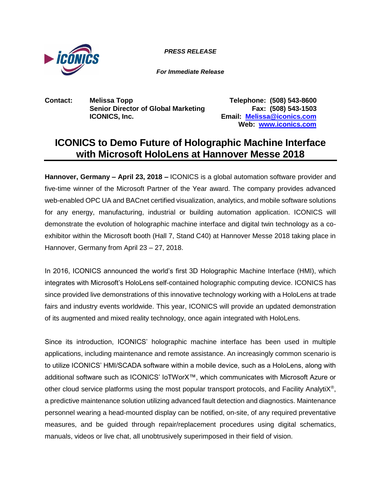

*PRESS RELEASE PRESS RELEASE*

*For Immediate Release*

**Contact: Melissa Topp Telephone: (508) 543-8600 Senior Director of Global Marketing Fax: (508) 543-1503 ICONICS, Inc. Email: [Melissa@iconics.com](mailto:Melissa@iconics.com)**

**Web: [www.iconics.com](http://www.iconics.com/)**

## **ICONICS to Demo Future of Holographic Machine Interface with Microsoft HoloLens at Hannover Messe 2018**

**Hannover, Germany – April 23, 2018 –** ICONICS is a global automation software provider and five-time winner of the Microsoft Partner of the Year award. The company provides advanced web-enabled OPC UA and BACnet certified visualization, analytics, and mobile software solutions for any energy, manufacturing, industrial or building automation application. ICONICS will demonstrate the evolution of holographic machine interface and digital twin technology as a coexhibitor within the Microsoft booth (Hall 7, Stand C40) at Hannover Messe 2018 taking place in Hannover, Germany from April 23 – 27, 2018.

In 2016, ICONICS announced the world's first 3D Holographic Machine Interface (HMI), which integrates with Microsoft's HoloLens self-contained holographic computing device. ICONICS has since provided live demonstrations of this innovative technology working with a HoloLens at trade fairs and industry events worldwide. This year, ICONICS will provide an updated demonstration of its augmented and mixed reality technology, once again integrated with HoloLens.

Since its introduction, ICONICS' holographic machine interface has been used in multiple applications, including maintenance and remote assistance. An increasingly common scenario is to utilize ICONICS' HMI/SCADA software within a mobile device, such as a HoloLens, along with additional software such as ICONICS' IoTWorX™, which communicates with Microsoft Azure or other cloud service platforms using the most popular transport protocols, and Facility AnalytiX®, a predictive maintenance solution utilizing advanced fault detection and diagnostics. Maintenance personnel wearing a head-mounted display can be notified, on-site, of any required preventative measures, and be guided through repair/replacement procedures using digital schematics, manuals, videos or live chat, all unobtrusively superimposed in their field of vision.